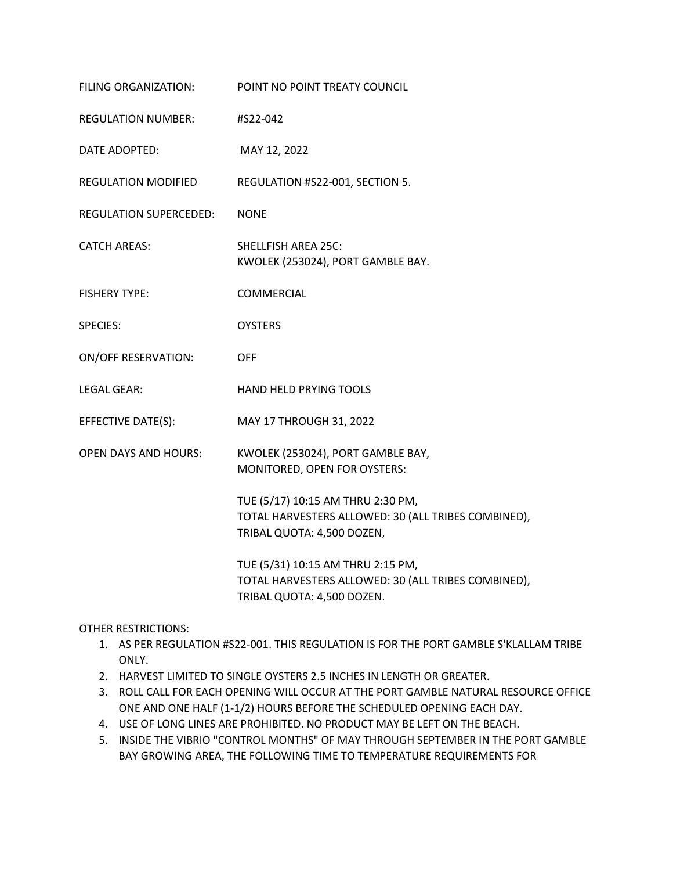| FILING ORGANIZATION:          | POINT NO POINT TREATY COUNCIL                                                                                          |
|-------------------------------|------------------------------------------------------------------------------------------------------------------------|
| <b>REGULATION NUMBER:</b>     | #S22-042                                                                                                               |
| DATE ADOPTED:                 | MAY 12, 2022                                                                                                           |
| <b>REGULATION MODIFIED</b>    | REGULATION #S22-001, SECTION 5.                                                                                        |
| <b>REGULATION SUPERCEDED:</b> | <b>NONE</b>                                                                                                            |
| <b>CATCH AREAS:</b>           | <b>SHELLFISH AREA 25C:</b><br>KWOLEK (253024), PORT GAMBLE BAY.                                                        |
| <b>FISHERY TYPE:</b>          | COMMERCIAL                                                                                                             |
| <b>SPECIES:</b>               | <b>OYSTERS</b>                                                                                                         |
| <b>ON/OFF RESERVATION:</b>    | <b>OFF</b>                                                                                                             |
| <b>LEGAL GEAR:</b>            | HAND HELD PRYING TOOLS                                                                                                 |
| EFFECTIVE DATE(S):            | MAY 17 THROUGH 31, 2022                                                                                                |
| <b>OPEN DAYS AND HOURS:</b>   | KWOLEK (253024), PORT GAMBLE BAY,<br>MONITORED, OPEN FOR OYSTERS:                                                      |
|                               | TUE (5/17) 10:15 AM THRU 2:30 PM,<br>TOTAL HARVESTERS ALLOWED: 30 (ALL TRIBES COMBINED),<br>TRIBAL QUOTA: 4,500 DOZEN, |
|                               | TUE (5/31) 10:15 AM THRU 2:15 PM,<br>TOTAL HARVESTERS ALLOWED: 30 (ALL TRIBES COMBINED),<br>TRIBAL QUOTA: 4,500 DOZEN. |

OTHER RESTRICTIONS:

- 1. AS PER REGULATION #S22-001. THIS REGULATION IS FOR THE PORT GAMBLE S'KLALLAM TRIBE ONLY.
- 2. HARVEST LIMITED TO SINGLE OYSTERS 2.5 INCHES IN LENGTH OR GREATER.
- 3. ROLL CALL FOR EACH OPENING WILL OCCUR AT THE PORT GAMBLE NATURAL RESOURCE OFFICE ONE AND ONE HALF (1-1/2) HOURS BEFORE THE SCHEDULED OPENING EACH DAY.
- 4. USE OF LONG LINES ARE PROHIBITED. NO PRODUCT MAY BE LEFT ON THE BEACH.
- 5. INSIDE THE VIBRIO "CONTROL MONTHS" OF MAY THROUGH SEPTEMBER IN THE PORT GAMBLE BAY GROWING AREA, THE FOLLOWING TIME TO TEMPERATURE REQUIREMENTS FOR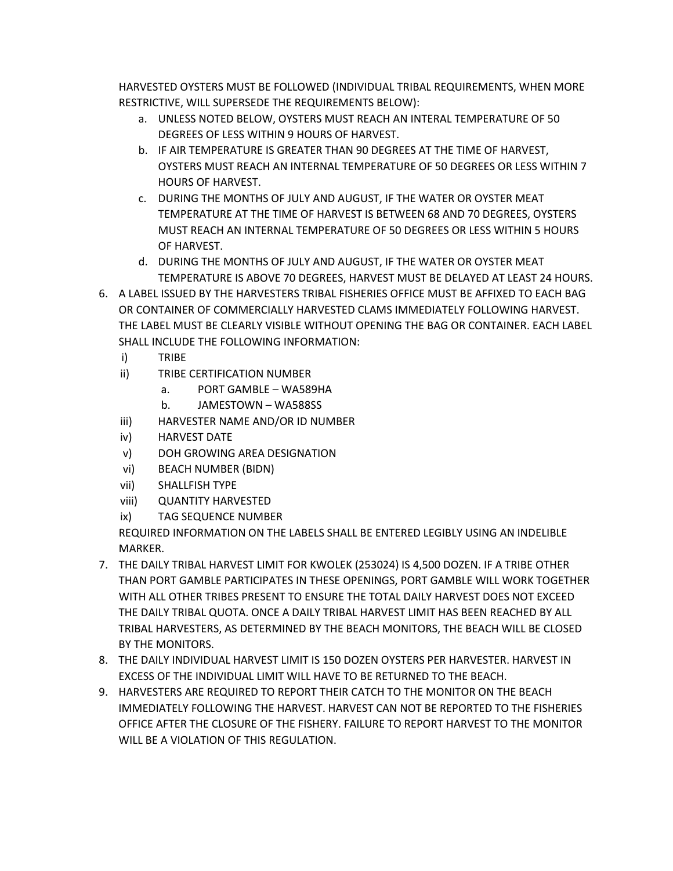HARVESTED OYSTERS MUST BE FOLLOWED (INDIVIDUAL TRIBAL REQUIREMENTS, WHEN MORE RESTRICTIVE, WILL SUPERSEDE THE REQUIREMENTS BELOW):

- a. UNLESS NOTED BELOW, OYSTERS MUST REACH AN INTERAL TEMPERATURE OF 50 DEGREES OF LESS WITHIN 9 HOURS OF HARVEST.
- b. IF AIR TEMPERATURE IS GREATER THAN 90 DEGREES AT THE TIME OF HARVEST, OYSTERS MUST REACH AN INTERNAL TEMPERATURE OF 50 DEGREES OR LESS WITHIN 7 HOURS OF HARVEST.
- c. DURING THE MONTHS OF JULY AND AUGUST, IF THE WATER OR OYSTER MEAT TEMPERATURE AT THE TIME OF HARVEST IS BETWEEN 68 AND 70 DEGREES, OYSTERS MUST REACH AN INTERNAL TEMPERATURE OF 50 DEGREES OR LESS WITHIN 5 HOURS OF HARVEST.
- d. DURING THE MONTHS OF JULY AND AUGUST, IF THE WATER OR OYSTER MEAT TEMPERATURE IS ABOVE 70 DEGREES, HARVEST MUST BE DELAYED AT LEAST 24 HOURS.
- 6. A LABEL ISSUED BY THE HARVESTERS TRIBAL FISHERIES OFFICE MUST BE AFFIXED TO EACH BAG OR CONTAINER OF COMMERCIALLY HARVESTED CLAMS IMMEDIATELY FOLLOWING HARVEST. THE LABEL MUST BE CLEARLY VISIBLE WITHOUT OPENING THE BAG OR CONTAINER. EACH LABEL SHALL INCLUDE THE FOLLOWING INFORMATION:
	- i) TRIBE
	- ii) TRIBE CERTIFICATION NUMBER
		- a. PORT GAMBLE WA589HA
		- b. JAMESTOWN WA588SS
	- iii) HARVESTER NAME AND/OR ID NUMBER
	- iv) HARVEST DATE
	- v) DOH GROWING AREA DESIGNATION
	- vi) BEACH NUMBER (BIDN)
	- vii) SHALLFISH TYPE
	- viii) QUANTITY HARVESTED
	- ix) TAG SEQUENCE NUMBER

REQUIRED INFORMATION ON THE LABELS SHALL BE ENTERED LEGIBLY USING AN INDELIBLE MARKER.

- 7. THE DAILY TRIBAL HARVEST LIMIT FOR KWOLEK (253024) IS 4,500 DOZEN. IF A TRIBE OTHER THAN PORT GAMBLE PARTICIPATES IN THESE OPENINGS, PORT GAMBLE WILL WORK TOGETHER WITH ALL OTHER TRIBES PRESENT TO ENSURE THE TOTAL DAILY HARVEST DOES NOT EXCEED THE DAILY TRIBAL QUOTA. ONCE A DAILY TRIBAL HARVEST LIMIT HAS BEEN REACHED BY ALL TRIBAL HARVESTERS, AS DETERMINED BY THE BEACH MONITORS, THE BEACH WILL BE CLOSED BY THE MONITORS.
- 8. THE DAILY INDIVIDUAL HARVEST LIMIT IS 150 DOZEN OYSTERS PER HARVESTER. HARVEST IN EXCESS OF THE INDIVIDUAL LIMIT WILL HAVE TO BE RETURNED TO THE BEACH.
- 9. HARVESTERS ARE REQUIRED TO REPORT THEIR CATCH TO THE MONITOR ON THE BEACH IMMEDIATELY FOLLOWING THE HARVEST. HARVEST CAN NOT BE REPORTED TO THE FISHERIES OFFICE AFTER THE CLOSURE OF THE FISHERY. FAILURE TO REPORT HARVEST TO THE MONITOR WILL BE A VIOLATION OF THIS REGULATION.